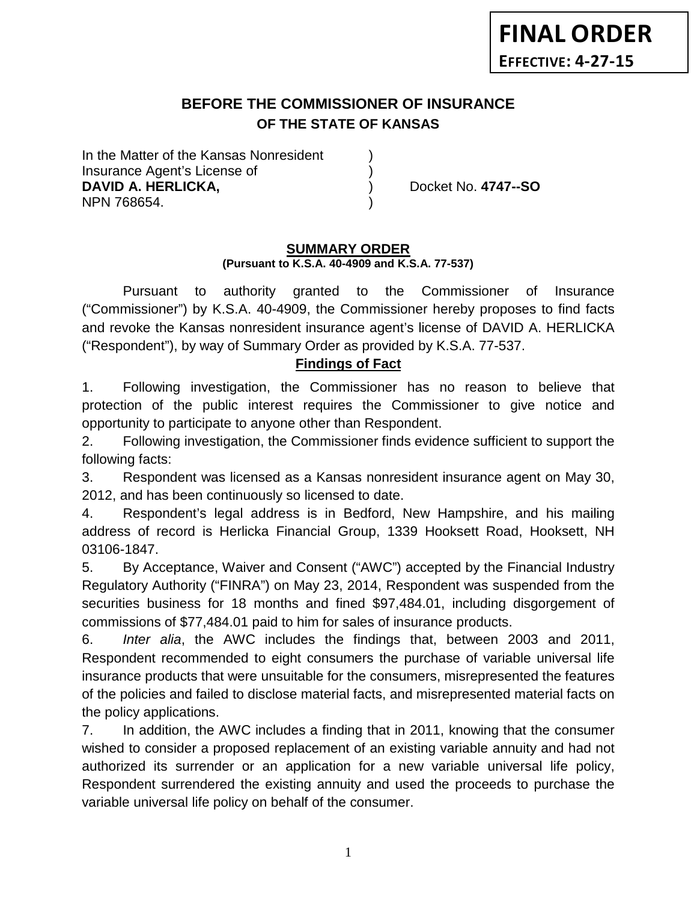# **BEFORE THE COMMISSIONER OF INSURANCE OF THE STATE OF KANSAS**

In the Matter of the Kansas Nonresident Insurance Agent's License of ) **DAVID A. HERLICKA,** ) Docket No. **4747--SO** NPN 768654. )

#### **SUMMARY ORDER (Pursuant to K.S.A. 40-4909 and K.S.A. 77-537)**

Pursuant to authority granted to the Commissioner of Insurance ("Commissioner") by K.S.A. 40-4909, the Commissioner hereby proposes to find facts and revoke the Kansas nonresident insurance agent's license of DAVID A. HERLICKA ("Respondent"), by way of Summary Order as provided by K.S.A. 77-537.

## **Findings of Fact**

1. Following investigation, the Commissioner has no reason to believe that protection of the public interest requires the Commissioner to give notice and opportunity to participate to anyone other than Respondent.

2. Following investigation, the Commissioner finds evidence sufficient to support the following facts:

3. Respondent was licensed as a Kansas nonresident insurance agent on May 30, 2012, and has been continuously so licensed to date.

4. Respondent's legal address is in Bedford, New Hampshire, and his mailing address of record is Herlicka Financial Group, 1339 Hooksett Road, Hooksett, NH 03106-1847.

5. By Acceptance, Waiver and Consent ("AWC") accepted by the Financial Industry Regulatory Authority ("FINRA") on May 23, 2014, Respondent was suspended from the securities business for 18 months and fined \$97,484.01, including disgorgement of commissions of \$77,484.01 paid to him for sales of insurance products.

6. *Inter alia*, the AWC includes the findings that, between 2003 and 2011, Respondent recommended to eight consumers the purchase of variable universal life insurance products that were unsuitable for the consumers, misrepresented the features of the policies and failed to disclose material facts, and misrepresented material facts on the policy applications.

7. In addition, the AWC includes a finding that in 2011, knowing that the consumer wished to consider a proposed replacement of an existing variable annuity and had not authorized its surrender or an application for a new variable universal life policy, Respondent surrendered the existing annuity and used the proceeds to purchase the variable universal life policy on behalf of the consumer.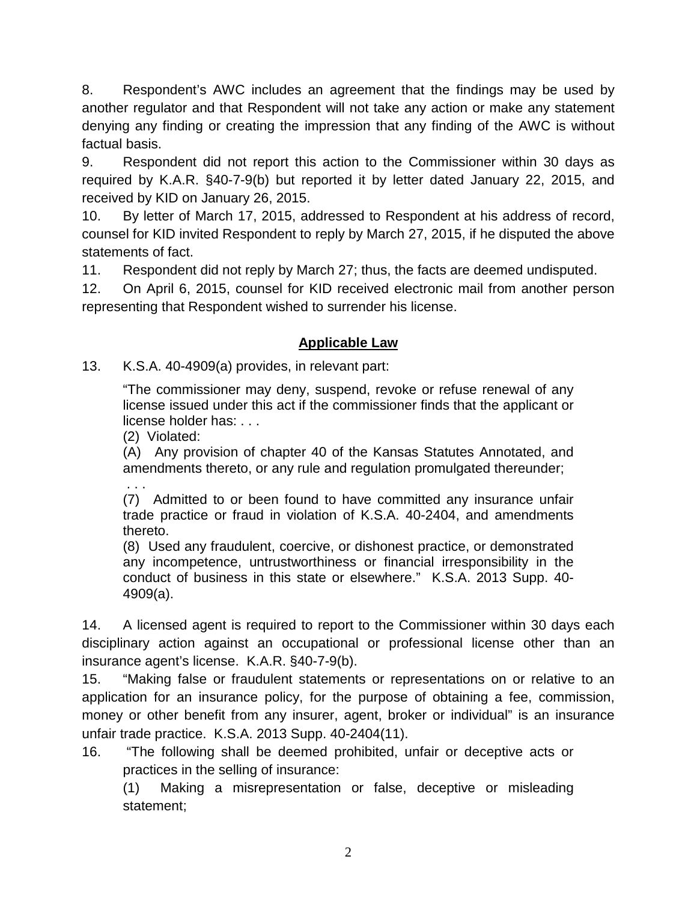8. Respondent's AWC includes an agreement that the findings may be used by another regulator and that Respondent will not take any action or make any statement denying any finding or creating the impression that any finding of the AWC is without factual basis.

9. Respondent did not report this action to the Commissioner within 30 days as required by K.A.R. §40-7-9(b) but reported it by letter dated January 22, 2015, and received by KID on January 26, 2015.

10. By letter of March 17, 2015, addressed to Respondent at his address of record, counsel for KID invited Respondent to reply by March 27, 2015, if he disputed the above statements of fact.

11. Respondent did not reply by March 27; thus, the facts are deemed undisputed.

12. On April 6, 2015, counsel for KID received electronic mail from another person representing that Respondent wished to surrender his license.

## **Applicable Law**

13. K.S.A. 40-4909(a) provides, in relevant part:

"The commissioner may deny, suspend, revoke or refuse renewal of any license issued under this act if the commissioner finds that the applicant or license holder has: . . .

(2) Violated:

. . .

(A) Any provision of chapter 40 of the Kansas Statutes Annotated, and amendments thereto, or any rule and regulation promulgated thereunder;

(7) Admitted to or been found to have committed any insurance unfair trade practice or fraud in violation of K.S.A. 40-2404, and amendments thereto.

(8) Used any fraudulent, coercive, or dishonest practice, or demonstrated any incompetence, untrustworthiness or financial irresponsibility in the conduct of business in this state or elsewhere." K.S.A. 2013 Supp. 40- 4909(a).

14. A licensed agent is required to report to the Commissioner within 30 days each disciplinary action against an occupational or professional license other than an insurance agent's license. K.A.R. §40-7-9(b).

15. "Making false or fraudulent statements or representations on or relative to an application for an insurance policy, for the purpose of obtaining a fee, commission, money or other benefit from any insurer, agent, broker or individual" is an insurance unfair trade practice. K.S.A. 2013 Supp. 40-2404(11).

16. "The following shall be deemed prohibited, unfair or deceptive acts or practices in the selling of insurance:

(1) Making a misrepresentation or false, deceptive or misleading statement;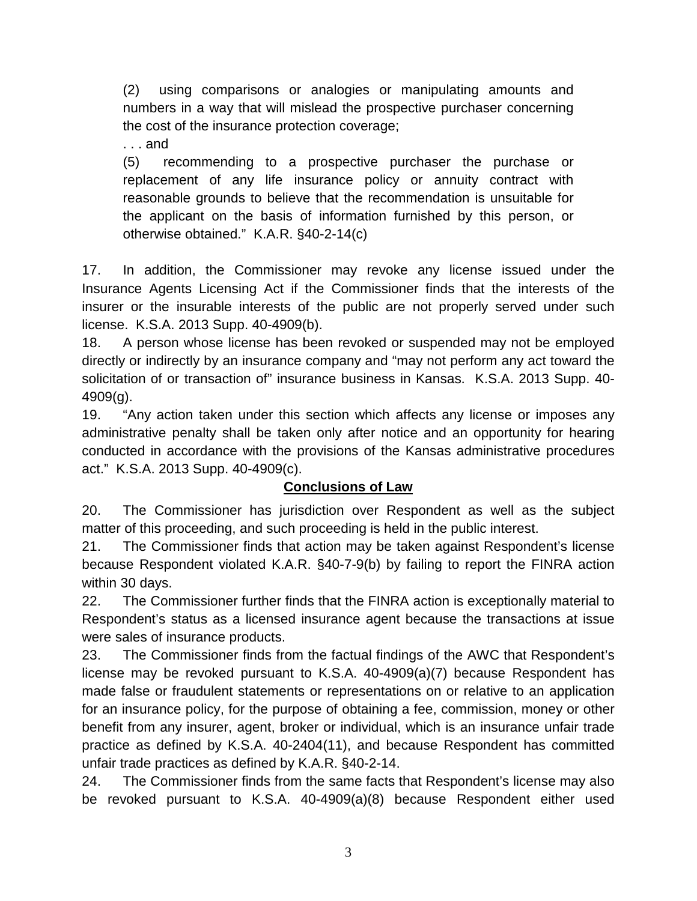(2) using comparisons or analogies or manipulating amounts and numbers in a way that will mislead the prospective purchaser concerning the cost of the insurance protection coverage;

. . . and

(5) recommending to a prospective purchaser the purchase or replacement of any life insurance policy or annuity contract with reasonable grounds to believe that the recommendation is unsuitable for the applicant on the basis of information furnished by this person, or otherwise obtained." K.A.R. §40-2-14(c)

17. In addition, the Commissioner may revoke any license issued under the Insurance Agents Licensing Act if the Commissioner finds that the interests of the insurer or the insurable interests of the public are not properly served under such license. K.S.A. 2013 Supp. 40-4909(b).

18. A person whose license has been revoked or suspended may not be employed directly or indirectly by an insurance company and "may not perform any act toward the solicitation of or transaction of" insurance business in Kansas. K.S.A. 2013 Supp. 40- 4909(g).

19. "Any action taken under this section which affects any license or imposes any administrative penalty shall be taken only after notice and an opportunity for hearing conducted in accordance with the provisions of the Kansas administrative procedures act." K.S.A. 2013 Supp. 40-4909(c).

## **Conclusions of Law**

20. The Commissioner has jurisdiction over Respondent as well as the subject matter of this proceeding, and such proceeding is held in the public interest.

21. The Commissioner finds that action may be taken against Respondent's license because Respondent violated K.A.R. §40-7-9(b) by failing to report the FINRA action within 30 days.

22. The Commissioner further finds that the FINRA action is exceptionally material to Respondent's status as a licensed insurance agent because the transactions at issue were sales of insurance products.

23. The Commissioner finds from the factual findings of the AWC that Respondent's license may be revoked pursuant to K.S.A. 40-4909(a)(7) because Respondent has made false or fraudulent statements or representations on or relative to an application for an insurance policy, for the purpose of obtaining a fee, commission, money or other benefit from any insurer, agent, broker or individual, which is an insurance unfair trade practice as defined by K.S.A. 40-2404(11), and because Respondent has committed unfair trade practices as defined by K.A.R. §40-2-14.

24. The Commissioner finds from the same facts that Respondent's license may also be revoked pursuant to K.S.A. 40-4909(a)(8) because Respondent either used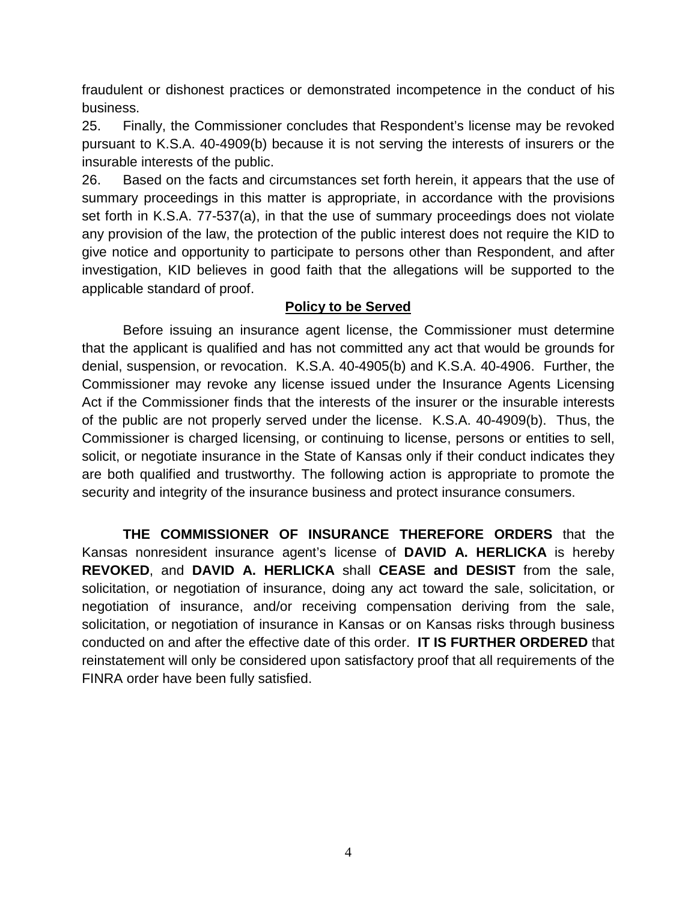fraudulent or dishonest practices or demonstrated incompetence in the conduct of his business.

25. Finally, the Commissioner concludes that Respondent's license may be revoked pursuant to K.S.A. 40-4909(b) because it is not serving the interests of insurers or the insurable interests of the public.

26. Based on the facts and circumstances set forth herein, it appears that the use of summary proceedings in this matter is appropriate, in accordance with the provisions set forth in K.S.A. 77-537(a), in that the use of summary proceedings does not violate any provision of the law, the protection of the public interest does not require the KID to give notice and opportunity to participate to persons other than Respondent, and after investigation, KID believes in good faith that the allegations will be supported to the applicable standard of proof.

## **Policy to be Served**

Before issuing an insurance agent license, the Commissioner must determine that the applicant is qualified and has not committed any act that would be grounds for denial, suspension, or revocation. K.S.A. 40-4905(b) and K.S.A. 40-4906. Further, the Commissioner may revoke any license issued under the Insurance Agents Licensing Act if the Commissioner finds that the interests of the insurer or the insurable interests of the public are not properly served under the license. K.S.A. 40-4909(b). Thus, the Commissioner is charged licensing, or continuing to license, persons or entities to sell, solicit, or negotiate insurance in the State of Kansas only if their conduct indicates they are both qualified and trustworthy. The following action is appropriate to promote the security and integrity of the insurance business and protect insurance consumers.

**THE COMMISSIONER OF INSURANCE THEREFORE ORDERS** that the Kansas nonresident insurance agent's license of **DAVID A. HERLICKA** is hereby **REVOKED**, and **DAVID A. HERLICKA** shall **CEASE and DESIST** from the sale, solicitation, or negotiation of insurance, doing any act toward the sale, solicitation, or negotiation of insurance, and/or receiving compensation deriving from the sale, solicitation, or negotiation of insurance in Kansas or on Kansas risks through business conducted on and after the effective date of this order. **IT IS FURTHER ORDERED** that reinstatement will only be considered upon satisfactory proof that all requirements of the FINRA order have been fully satisfied.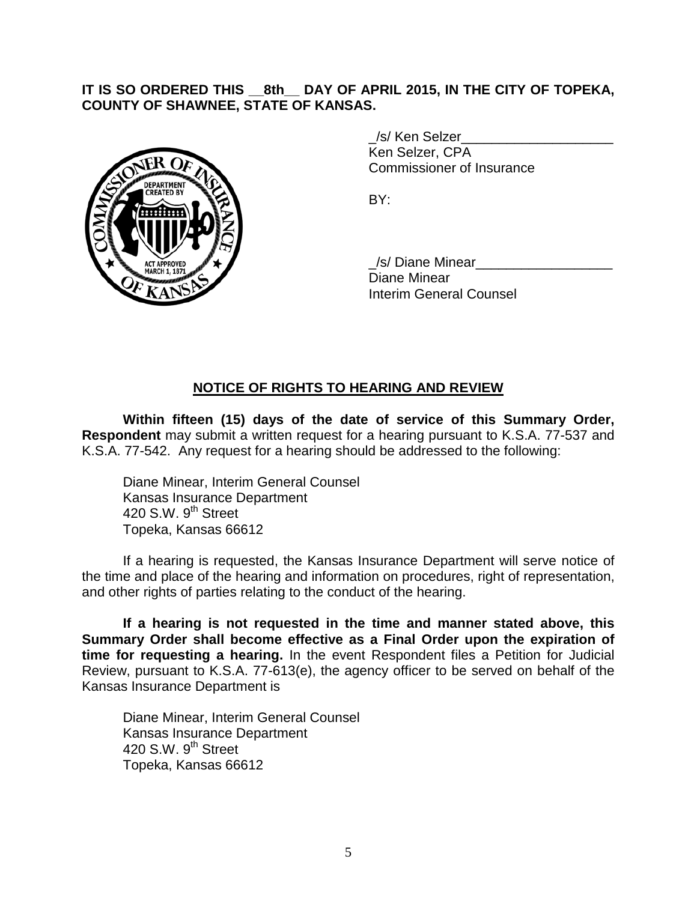### **IT IS SO ORDERED THIS \_\_8th\_\_ DAY OF APRIL 2015, IN THE CITY OF TOPEKA, COUNTY OF SHAWNEE, STATE OF KANSAS.**



/s/ Ken Selzer Ken Selzer, CPA Commissioner of Insurance

BY:

/s/ Diane Minear Diane Minear Interim General Counsel

## **NOTICE OF RIGHTS TO HEARING AND REVIEW**

**Within fifteen (15) days of the date of service of this Summary Order, Respondent** may submit a written request for a hearing pursuant to K.S.A. 77-537 and K.S.A. 77-542. Any request for a hearing should be addressed to the following:

Diane Minear, Interim General Counsel Kansas Insurance Department 420 S.W.  $9<sup>th</sup>$  Street Topeka, Kansas 66612

If a hearing is requested, the Kansas Insurance Department will serve notice of the time and place of the hearing and information on procedures, right of representation, and other rights of parties relating to the conduct of the hearing.

**If a hearing is not requested in the time and manner stated above, this Summary Order shall become effective as a Final Order upon the expiration of time for requesting a hearing.** In the event Respondent files a Petition for Judicial Review, pursuant to K.S.A. 77-613(e), the agency officer to be served on behalf of the Kansas Insurance Department is

Diane Minear, Interim General Counsel Kansas Insurance Department 420 S.W. 9<sup>th</sup> Street Topeka, Kansas 66612